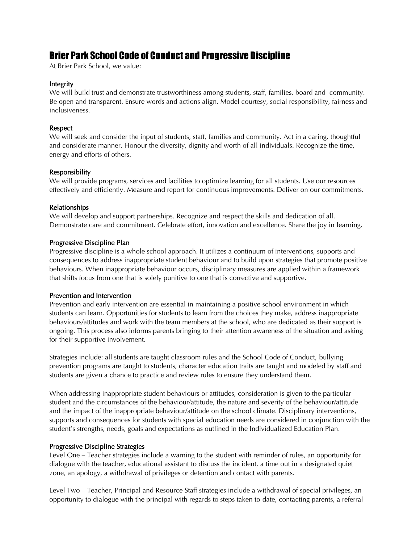# Brier Park School Code of Conduct and Progressive Discipline

At Brier Park School, we value:

#### Integrity

We will build trust and demonstrate trustworthiness among students, staff, families, board and community. Be open and transparent. Ensure words and actions align. Model courtesy, social responsibility, fairness and inclusiveness.

### **Respect**

We will seek and consider the input of students, staff, families and community. Act in a caring, thoughtful and considerate manner. Honour the diversity, dignity and worth of all individuals. Recognize the time, energy and efforts of others.

## Responsibility

We will provide programs, services and facilities to optimize learning for all students. Use our resources effectively and efficiently. Measure and report for continuous improvements. Deliver on our commitments.

#### Relationships

We will develop and support partnerships. Recognize and respect the skills and dedication of all. Demonstrate care and commitment. Celebrate effort, innovation and excellence. Share the joy in learning.

#### Progressive Discipline Plan

Progressive discipline is a whole school approach. It utilizes a continuum of interventions, supports and consequences to address inappropriate student behaviour and to build upon strategies that promote positive behaviours. When inappropriate behaviour occurs, disciplinary measures are applied within a framework that shifts focus from one that is solely punitive to one that is corrective and supportive.

#### Prevention and Intervention

Prevention and early intervention are essential in maintaining a positive school environment in which students can learn. Opportunities for students to learn from the choices they make, address inappropriate behaviours/attitudes and work with the team members at the school, who are dedicated as their support is ongoing. This process also informs parents bringing to their attention awareness of the situation and asking for their supportive involvement.

Strategies include: all students are taught classroom rules and the School Code of Conduct, bullying prevention programs are taught to students, character education traits are taught and modeled by staff and students are given a chance to practice and review rules to ensure they understand them.

When addressing inappropriate student behaviours or attitudes, consideration is given to the particular student and the circumstances of the behaviour/attitude, the nature and severity of the behaviour/attitude and the impact of the inappropriate behaviour/attitude on the school climate. Disciplinary interventions, supports and consequences for students with special education needs are considered in conjunction with the student's strengths, needs, goals and expectations as outlined in the Individualized Education Plan.

## Progressive Discipline Strategies

Level One – Teacher strategies include a warning to the student with reminder of rules, an opportunity for dialogue with the teacher, educational assistant to discuss the incident, a time out in a designated quiet zone, an apology, a withdrawal of privileges or detention and contact with parents.

Level Two – Teacher, Principal and Resource Staff strategies include a withdrawal of special privileges, an opportunity to dialogue with the principal with regards to steps taken to date, contacting parents, a referral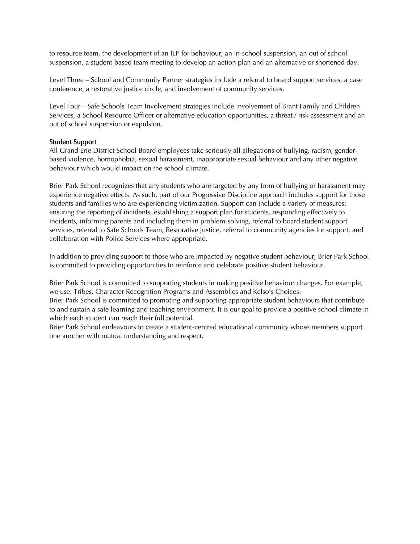to resource team, the development of an IEP for behaviour, an in-school suspension, an out of school suspension, a student-based team meeting to develop an action plan and an alternative or shortened day.

Level Three – School and Community Partner strategies include a referral to board support services, a case conference, a restorative justice circle, and involvement of community services.

Level Four – Safe Schools Team Involvement strategies include involvement of Brant Family and Children Services, a School Resource Officer or alternative education opportunities, a threat / risk assessment and an out of school suspension or expulsion.

## Student Support

All Grand Erie District School Board employees take seriously all allegations of bullying, racism, genderbased violence, homophobia, sexual harassment, inappropriate sexual behaviour and any other negative behaviour which would impact on the school climate.

Brier Park School recognizes that any students who are targeted by any form of bullying or harassment may experience negative effects. As such, part of our Progressive Discipline approach includes support for those students and families who are experiencing victimization. Support can include a variety of measures: ensuring the reporting of incidents, establishing a support plan for students, responding effectively to incidents, informing parents and including them in problem-solving, referral to board student support services, referral to Safe Schools Team, Restorative Justice, referral to community agencies for support, and collaboration with Police Services where appropriate.

In addition to providing support to those who are impacted by negative student behaviour, Brier Park School is committed to providing opportunities to reinforce and celebrate positive student behaviour.

Brier Park School is committed to supporting students in making positive behaviour changes. For example, we use: Tribes, Character Recognition Programs and Assemblies and Kelso's Choices.

Brier Park School is committed to promoting and supporting appropriate student behaviours that contribute to and sustain a safe learning and teaching environment. It is our goal to provide a positive school climate in which each student can reach their full potential.

Brier Park School endeavours to create a student-centred educational community whose members support one another with mutual understanding and respect.